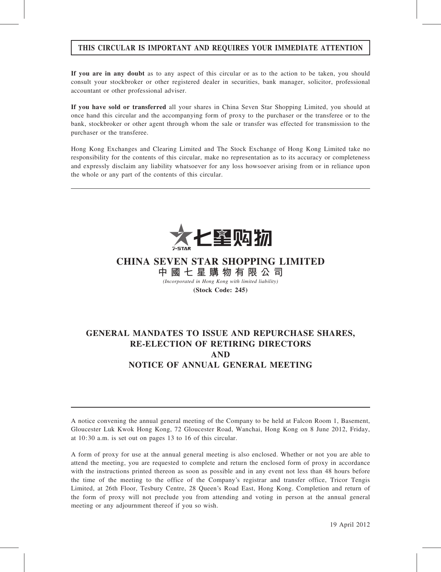# THIS CIRCULAR IS IMPORTANT AND REQUIRES YOUR IMMEDIATE ATTENTION

If you are in any doubt as to any aspect of this circular or as to the action to be taken, you should consult your stockbroker or other registered dealer in securities, bank manager, solicitor, professional accountant or other professional adviser.

If you have sold or transferred all your shares in China Seven Star Shopping Limited, you should at once hand this circular and the accompanying form of proxy to the purchaser or the transferee or to the bank, stockbroker or other agent through whom the sale or transfer was effected for transmission to the purchaser or the transferee.

Hong Kong Exchanges and Clearing Limited and The Stock Exchange of Hong Kong Limited take no responsibility for the contents of this circular, make no representation as to its accuracy or completeness and expressly disclaim any liability whatsoever for any loss howsoever arising from or in reliance upon the whole or any part of the contents of this circular.



# CHINA SEVEN STAR SHOPPING LIMITED

中 國 七 星 購 物 有 限 公 司

(Incorporated in Hong Kong with limited liability)

(Stock Code: 245)

# GENERAL MANDATES TO ISSUE AND REPURCHASE SHARES, RE-ELECTION OF RETIRING DIRECTORS AND NOTICE OF ANNUAL GENERAL MEETING

A notice convening the annual general meeting of the Company to be held at Falcon Room 1, Basement, Gloucester Luk Kwok Hong Kong, 72 Gloucester Road, Wanchai, Hong Kong on 8 June 2012, Friday, at 10:30 a.m. is set out on pages 13 to 16 of this circular.

A form of proxy for use at the annual general meeting is also enclosed. Whether or not you are able to attend the meeting, you are requested to complete and return the enclosed form of proxy in accordance with the instructions printed thereon as soon as possible and in any event not less than 48 hours before the time of the meeting to the office of the Company's registrar and transfer office, Tricor Tengis Limited, at 26th Floor, Tesbury Centre, 28 Queen's Road East, Hong Kong. Completion and return of the form of proxy will not preclude you from attending and voting in person at the annual general meeting or any adjournment thereof if you so wish.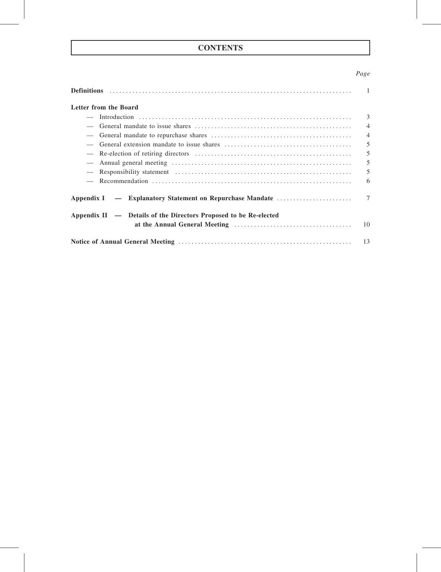# **CONTENTS**

### Page

| Letter from the Board                                            |                 |
|------------------------------------------------------------------|-----------------|
|                                                                  | 3               |
|                                                                  | $\overline{4}$  |
|                                                                  | $\overline{4}$  |
|                                                                  | 5               |
|                                                                  | 5               |
|                                                                  | 5               |
|                                                                  | 5               |
|                                                                  | 6               |
| Appendix I — Explanatory Statement on Repurchase Mandate         | $\tau$          |
| Appendix II — Details of the Directors Proposed to be Re-elected |                 |
|                                                                  | $\overline{10}$ |
|                                                                  | 13              |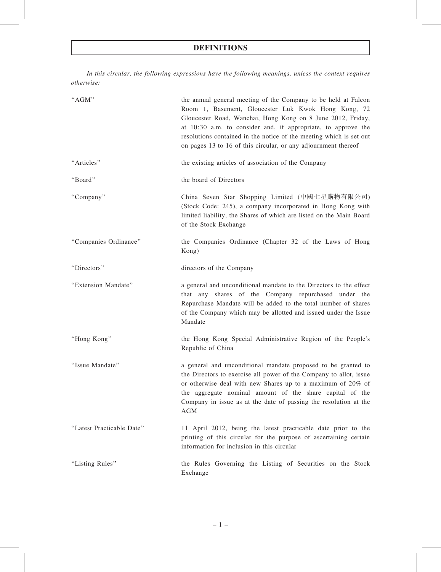# DEFINITIONS

In this circular, the following expressions have the following meanings, unless the context requires otherwise:

| "AGM"                     | the annual general meeting of the Company to be held at Falcon<br>Room 1, Basement, Gloucester Luk Kwok Hong Kong, 72<br>Gloucester Road, Wanchai, Hong Kong on 8 June 2012, Friday,<br>at 10:30 a.m. to consider and, if appropriate, to approve the<br>resolutions contained in the notice of the meeting which is set out<br>on pages 13 to 16 of this circular, or any adjournment thereof |
|---------------------------|------------------------------------------------------------------------------------------------------------------------------------------------------------------------------------------------------------------------------------------------------------------------------------------------------------------------------------------------------------------------------------------------|
| "Articles"                | the existing articles of association of the Company                                                                                                                                                                                                                                                                                                                                            |
| "Board"                   | the board of Directors                                                                                                                                                                                                                                                                                                                                                                         |
| "Company"                 | China Seven Star Shopping Limited (中國七星購物有限公司)<br>(Stock Code: 245), a company incorporated in Hong Kong with<br>limited liability, the Shares of which are listed on the Main Board<br>of the Stock Exchange                                                                                                                                                                                  |
| "Companies Ordinance"     | the Companies Ordinance (Chapter 32 of the Laws of Hong<br>Kong)                                                                                                                                                                                                                                                                                                                               |
| "Directors"               | directors of the Company                                                                                                                                                                                                                                                                                                                                                                       |
| "Extension Mandate"       | a general and unconditional mandate to the Directors to the effect<br>that any shares of the Company repurchased under the<br>Repurchase Mandate will be added to the total number of shares<br>of the Company which may be allotted and issued under the Issue<br>Mandate                                                                                                                     |
| "Hong Kong"               | the Hong Kong Special Administrative Region of the People's<br>Republic of China                                                                                                                                                                                                                                                                                                               |
| "Issue Mandate"           | a general and unconditional mandate proposed to be granted to<br>the Directors to exercise all power of the Company to allot, issue<br>or otherwise deal with new Shares up to a maximum of 20% of<br>the aggregate nominal amount of the share capital of the<br>Company in issue as at the date of passing the resolution at the<br>AGM                                                      |
| "Latest Practicable Date" | 11 April 2012, being the latest practicable date prior to the<br>printing of this circular for the purpose of ascertaining certain<br>information for inclusion in this circular                                                                                                                                                                                                               |
| "Listing Rules"           | the Rules Governing the Listing of Securities on the Stock<br>Exchange                                                                                                                                                                                                                                                                                                                         |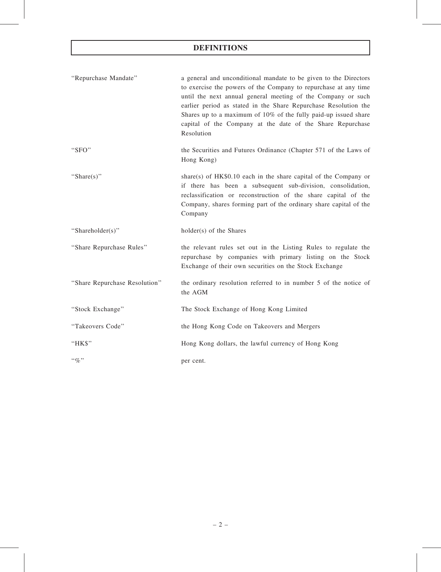# DEFINITIONS

| "Repurchase Mandate"          | a general and unconditional mandate to be given to the Directors<br>to exercise the powers of the Company to repurchase at any time<br>until the next annual general meeting of the Company or such<br>earlier period as stated in the Share Repurchase Resolution the<br>Shares up to a maximum of 10% of the fully paid-up issued share<br>capital of the Company at the date of the Share Repurchase<br>Resolution |
|-------------------------------|-----------------------------------------------------------------------------------------------------------------------------------------------------------------------------------------------------------------------------------------------------------------------------------------------------------------------------------------------------------------------------------------------------------------------|
| "SFO"                         | the Securities and Futures Ordinance (Chapter 571 of the Laws of<br>Hong Kong)                                                                                                                                                                                                                                                                                                                                        |
| "Share $(s)$ "                | share(s) of $HK$0.10$ each in the share capital of the Company or<br>if there has been a subsequent sub-division, consolidation,<br>reclassification or reconstruction of the share capital of the<br>Company, shares forming part of the ordinary share capital of the<br>Company                                                                                                                                    |
| "Shareholder(s)"              | holder(s) of the Shares                                                                                                                                                                                                                                                                                                                                                                                               |
| "Share Repurchase Rules"      | the relevant rules set out in the Listing Rules to regulate the<br>repurchase by companies with primary listing on the Stock<br>Exchange of their own securities on the Stock Exchange                                                                                                                                                                                                                                |
| "Share Repurchase Resolution" | the ordinary resolution referred to in number 5 of the notice of<br>the AGM                                                                                                                                                                                                                                                                                                                                           |
| "Stock Exchange"              | The Stock Exchange of Hong Kong Limited                                                                                                                                                                                                                                                                                                                                                                               |
| "Takeovers Code"              | the Hong Kong Code on Takeovers and Mergers                                                                                                                                                                                                                                                                                                                                                                           |
| "HK\$"                        | Hong Kong dollars, the lawful currency of Hong Kong                                                                                                                                                                                                                                                                                                                                                                   |
| $``q_0"$                      | per cent.                                                                                                                                                                                                                                                                                                                                                                                                             |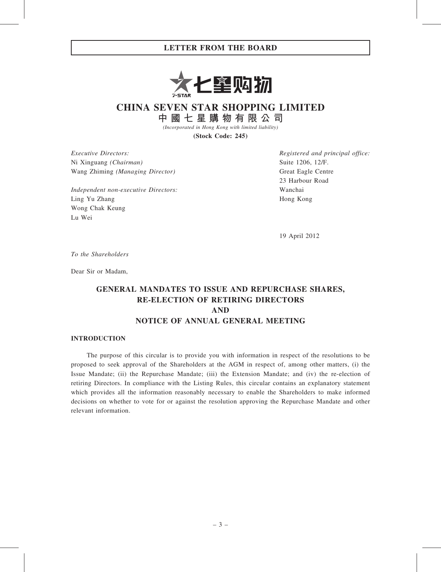

CHINA SEVEN STAR SHOPPING LIMITED

中 國 七 星 購 物 有 限 公 司

(Incorporated in Hong Kong with limited liability)

(Stock Code: 245)

Executive Directors: Ni Xinguang (Chairman) Wang Zhiming (Managing Director)

Independent non-executive Directors: Ling Yu Zhang Wong Chak Keung Lu Wei

Registered and principal office: Suite 1206, 12/F. Great Eagle Centre 23 Harbour Road Wanchai Hong Kong

19 April 2012

To the Shareholders

Dear Sir or Madam,

# GENERAL MANDATES TO ISSUE AND REPURCHASE SHARES, RE-ELECTION OF RETIRING DIRECTORS AND NOTICE OF ANNUAL GENERAL MEETING

### INTRODUCTION

The purpose of this circular is to provide you with information in respect of the resolutions to be proposed to seek approval of the Shareholders at the AGM in respect of, among other matters, (i) the Issue Mandate; (ii) the Repurchase Mandate; (iii) the Extension Mandate; and (iv) the re-election of retiring Directors. In compliance with the Listing Rules, this circular contains an explanatory statement which provides all the information reasonably necessary to enable the Shareholders to make informed decisions on whether to vote for or against the resolution approving the Repurchase Mandate and other relevant information.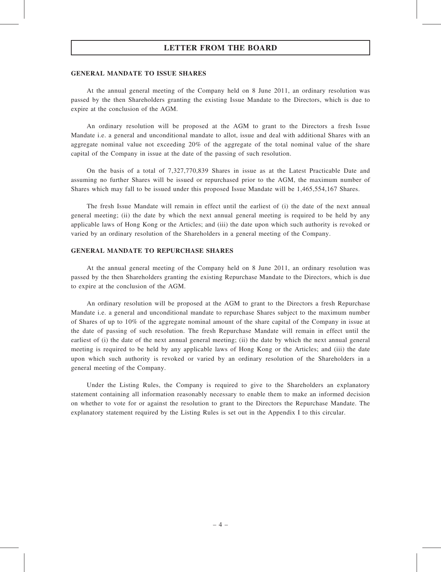#### GENERAL MANDATE TO ISSUE SHARES

At the annual general meeting of the Company held on 8 June 2011, an ordinary resolution was passed by the then Shareholders granting the existing Issue Mandate to the Directors, which is due to expire at the conclusion of the AGM.

An ordinary resolution will be proposed at the AGM to grant to the Directors a fresh Issue Mandate i.e. a general and unconditional mandate to allot, issue and deal with additional Shares with an aggregate nominal value not exceeding 20% of the aggregate of the total nominal value of the share capital of the Company in issue at the date of the passing of such resolution.

On the basis of a total of 7,327,770,839 Shares in issue as at the Latest Practicable Date and assuming no further Shares will be issued or repurchased prior to the AGM, the maximum number of Shares which may fall to be issued under this proposed Issue Mandate will be 1,465,554,167 Shares.

The fresh Issue Mandate will remain in effect until the earliest of (i) the date of the next annual general meeting; (ii) the date by which the next annual general meeting is required to be held by any applicable laws of Hong Kong or the Articles; and (iii) the date upon which such authority is revoked or varied by an ordinary resolution of the Shareholders in a general meeting of the Company.

#### GENERAL MANDATE TO REPURCHASE SHARES

At the annual general meeting of the Company held on 8 June 2011, an ordinary resolution was passed by the then Shareholders granting the existing Repurchase Mandate to the Directors, which is due to expire at the conclusion of the AGM.

An ordinary resolution will be proposed at the AGM to grant to the Directors a fresh Repurchase Mandate i.e. a general and unconditional mandate to repurchase Shares subject to the maximum number of Shares of up to 10% of the aggregate nominal amount of the share capital of the Company in issue at the date of passing of such resolution. The fresh Repurchase Mandate will remain in effect until the earliest of (i) the date of the next annual general meeting; (ii) the date by which the next annual general meeting is required to be held by any applicable laws of Hong Kong or the Articles; and (iii) the date upon which such authority is revoked or varied by an ordinary resolution of the Shareholders in a general meeting of the Company.

Under the Listing Rules, the Company is required to give to the Shareholders an explanatory statement containing all information reasonably necessary to enable them to make an informed decision on whether to vote for or against the resolution to grant to the Directors the Repurchase Mandate. The explanatory statement required by the Listing Rules is set out in the Appendix I to this circular.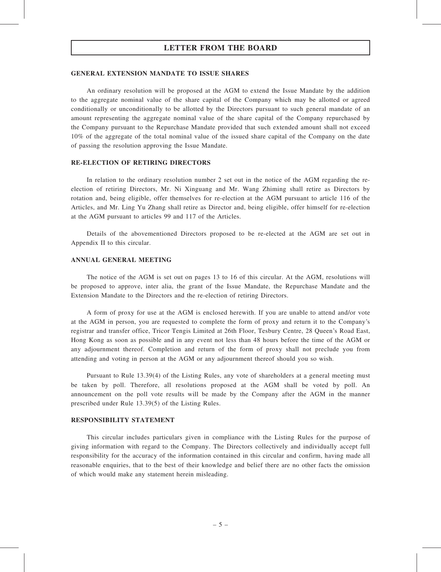#### GENERAL EXTENSION MANDATE TO ISSUE SHARES

An ordinary resolution will be proposed at the AGM to extend the Issue Mandate by the addition to the aggregate nominal value of the share capital of the Company which may be allotted or agreed conditionally or unconditionally to be allotted by the Directors pursuant to such general mandate of an amount representing the aggregate nominal value of the share capital of the Company repurchased by the Company pursuant to the Repurchase Mandate provided that such extended amount shall not exceed 10% of the aggregate of the total nominal value of the issued share capital of the Company on the date of passing the resolution approving the Issue Mandate.

#### RE-ELECTION OF RETIRING DIRECTORS

In relation to the ordinary resolution number 2 set out in the notice of the AGM regarding the reelection of retiring Directors, Mr. Ni Xinguang and Mr. Wang Zhiming shall retire as Directors by rotation and, being eligible, offer themselves for re-election at the AGM pursuant to article 116 of the Articles, and Mr. Ling Yu Zhang shall retire as Director and, being eligible, offer himself for re-election at the AGM pursuant to articles 99 and 117 of the Articles.

Details of the abovementioned Directors proposed to be re-elected at the AGM are set out in Appendix II to this circular.

#### ANNUAL GENERAL MEETING

The notice of the AGM is set out on pages 13 to 16 of this circular. At the AGM, resolutions will be proposed to approve, inter alia, the grant of the Issue Mandate, the Repurchase Mandate and the Extension Mandate to the Directors and the re-election of retiring Directors.

A form of proxy for use at the AGM is enclosed herewith. If you are unable to attend and/or vote at the AGM in person, you are requested to complete the form of proxy and return it to the Company's registrar and transfer office, Tricor Tengis Limited at 26th Floor, Tesbury Centre, 28 Queen's Road East, Hong Kong as soon as possible and in any event not less than 48 hours before the time of the AGM or any adjournment thereof. Completion and return of the form of proxy shall not preclude you from attending and voting in person at the AGM or any adjournment thereof should you so wish.

Pursuant to Rule 13.39(4) of the Listing Rules, any vote of shareholders at a general meeting must be taken by poll. Therefore, all resolutions proposed at the AGM shall be voted by poll. An announcement on the poll vote results will be made by the Company after the AGM in the manner prescribed under Rule 13.39(5) of the Listing Rules.

#### RESPONSIBILITY STATEMENT

This circular includes particulars given in compliance with the Listing Rules for the purpose of giving information with regard to the Company. The Directors collectively and individually accept full responsibility for the accuracy of the information contained in this circular and confirm, having made all reasonable enquiries, that to the best of their knowledge and belief there are no other facts the omission of which would make any statement herein misleading.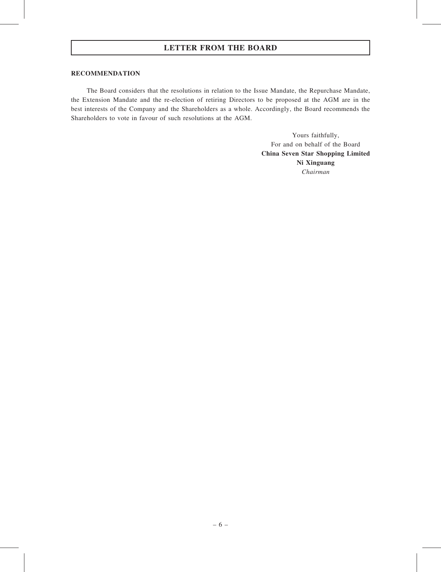#### RECOMMENDATION

The Board considers that the resolutions in relation to the Issue Mandate, the Repurchase Mandate, the Extension Mandate and the re-election of retiring Directors to be proposed at the AGM are in the best interests of the Company and the Shareholders as a whole. Accordingly, the Board recommends the Shareholders to vote in favour of such resolutions at the AGM.

> Yours faithfully, For and on behalf of the Board China Seven Star Shopping Limited Ni Xinguang Chairman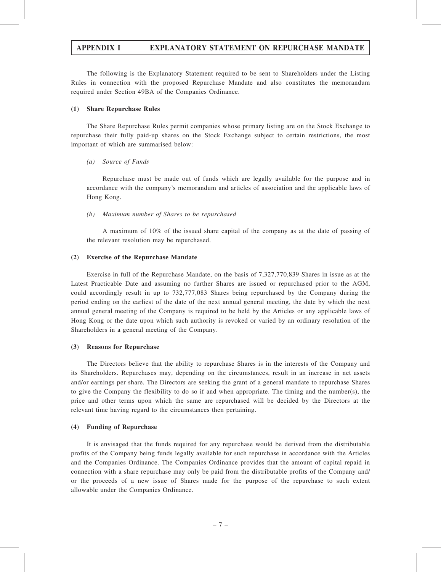## APPENDIX I EXPLANATORY STATEMENT ON REPURCHASE MANDATE

The following is the Explanatory Statement required to be sent to Shareholders under the Listing Rules in connection with the proposed Repurchase Mandate and also constitutes the memorandum required under Section 49BA of the Companies Ordinance.

#### (1) Share Repurchase Rules

The Share Repurchase Rules permit companies whose primary listing are on the Stock Exchange to repurchase their fully paid-up shares on the Stock Exchange subject to certain restrictions, the most important of which are summarised below:

#### (a) Source of Funds

Repurchase must be made out of funds which are legally available for the purpose and in accordance with the company's memorandum and articles of association and the applicable laws of Hong Kong.

#### (b) Maximum number of Shares to be repurchased

A maximum of 10% of the issued share capital of the company as at the date of passing of the relevant resolution may be repurchased.

#### (2) Exercise of the Repurchase Mandate

Exercise in full of the Repurchase Mandate, on the basis of 7,327,770,839 Shares in issue as at the Latest Practicable Date and assuming no further Shares are issued or repurchased prior to the AGM, could accordingly result in up to 732,777,083 Shares being repurchased by the Company during the period ending on the earliest of the date of the next annual general meeting, the date by which the next annual general meeting of the Company is required to be held by the Articles or any applicable laws of Hong Kong or the date upon which such authority is revoked or varied by an ordinary resolution of the Shareholders in a general meeting of the Company.

#### (3) Reasons for Repurchase

The Directors believe that the ability to repurchase Shares is in the interests of the Company and its Shareholders. Repurchases may, depending on the circumstances, result in an increase in net assets and/or earnings per share. The Directors are seeking the grant of a general mandate to repurchase Shares to give the Company the flexibility to do so if and when appropriate. The timing and the number(s), the price and other terms upon which the same are repurchased will be decided by the Directors at the relevant time having regard to the circumstances then pertaining.

#### (4) Funding of Repurchase

It is envisaged that the funds required for any repurchase would be derived from the distributable profits of the Company being funds legally available for such repurchase in accordance with the Articles and the Companies Ordinance. The Companies Ordinance provides that the amount of capital repaid in connection with a share repurchase may only be paid from the distributable profits of the Company and/ or the proceeds of a new issue of Shares made for the purpose of the repurchase to such extent allowable under the Companies Ordinance.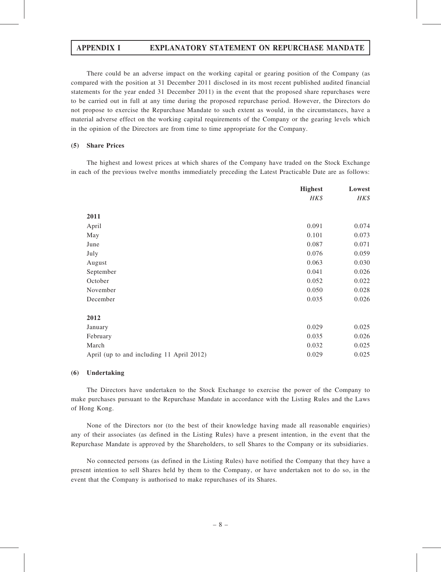# APPENDIX I EXPLANATORY STATEMENT ON REPURCHASE MANDATE

There could be an adverse impact on the working capital or gearing position of the Company (as compared with the position at 31 December 2011 disclosed in its most recent published audited financial statements for the year ended 31 December 2011) in the event that the proposed share repurchases were to be carried out in full at any time during the proposed repurchase period. However, the Directors do not propose to exercise the Repurchase Mandate to such extent as would, in the circumstances, have a material adverse effect on the working capital requirements of the Company or the gearing levels which in the opinion of the Directors are from time to time appropriate for the Company.

#### (5) Share Prices

The highest and lowest prices at which shares of the Company have traded on the Stock Exchange in each of the previous twelve months immediately preceding the Latest Practicable Date are as follows:

|                                           | <b>Highest</b> | Lowest<br>HK\$ |
|-------------------------------------------|----------------|----------------|
|                                           | HK\$           |                |
| 2011                                      |                |                |
| April                                     | 0.091          | 0.074          |
| May                                       | 0.101          | 0.073          |
| June                                      | 0.087          | 0.071          |
| July                                      | 0.076          | 0.059          |
| August                                    | 0.063          | 0.030          |
| September                                 | 0.041          | 0.026          |
| October                                   | 0.052          | 0.022          |
| November                                  | 0.050          | 0.028          |
| December                                  | 0.035          | 0.026          |
| 2012                                      |                |                |
| January                                   | 0.029          | 0.025          |
| February                                  | 0.035          | 0.026          |
| March                                     | 0.032          | 0.025          |
| April (up to and including 11 April 2012) | 0.029          | 0.025          |

#### (6) Undertaking

The Directors have undertaken to the Stock Exchange to exercise the power of the Company to make purchases pursuant to the Repurchase Mandate in accordance with the Listing Rules and the Laws of Hong Kong.

None of the Directors nor (to the best of their knowledge having made all reasonable enquiries) any of their associates (as defined in the Listing Rules) have a present intention, in the event that the Repurchase Mandate is approved by the Shareholders, to sell Shares to the Company or its subsidiaries.

No connected persons (as defined in the Listing Rules) have notified the Company that they have a present intention to sell Shares held by them to the Company, or have undertaken not to do so, in the event that the Company is authorised to make repurchases of its Shares.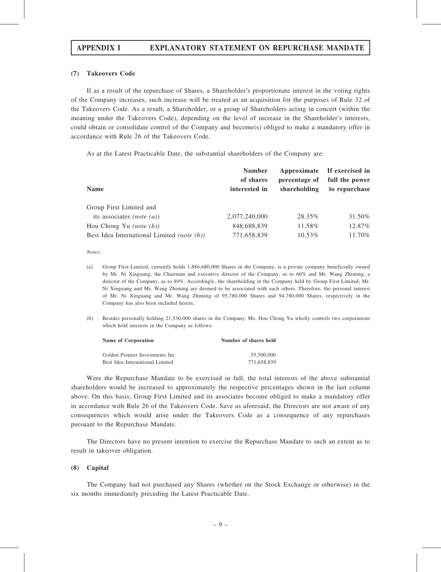# APPENDIX I EXPLANATORY STATEMENT ON REPURCHASE MANDATE

#### (7) Takeovers Code

If as a result of the repurchase of Shares, a Shareholder's proportionate interest in the voting rights of the Company increases, such increase will be treated as an acquisition for the purposes of Rule 32 of the Takeovers Code. As a result, a Shareholder, or a group of Shareholders acting in concert (within the meaning under the Takeovers Code), depending on the level of increase in the Shareholder's interests, could obtain or consolidate control of the Company and become(s) obliged to make a mandatory offer in accordance with Rule 26 of the Takeovers Code.

As at the Latest Practicable Date, the substantial shareholders of the Company are:

| <b>Name</b>                                       | <b>Number</b><br>of shares<br>interested in | percentage of<br>shareholding | Approximate If exercised in<br>full the power<br>to repurchase |
|---------------------------------------------------|---------------------------------------------|-------------------------------|----------------------------------------------------------------|
| Group First Limited and                           |                                             |                               |                                                                |
| its associates ( <i>note</i> $(a)$ )              | 2,077,240,000                               | 28.35%                        | 31.50%                                                         |
| Hou Chong Yu <i>(note (b))</i>                    | 848,688,839                                 | 11.58%                        | 12.87%                                                         |
| Best Idea International Limited <i>(note (b))</i> | 771,658,839                                 | 10.53%                        | 11.70%                                                         |
|                                                   |                                             |                               |                                                                |

 $Note:$ 

- (a) Group First Limited, currently holds 1,886,680,000 Shares in the Company, is a private company beneficially owned by Mr. Ni Xinguang, the Chairman and executive director of the Company, as to 60% and Mr. Wang Zhiming, a director of the Company, as to 40%. Accordingly, the shareholding in the Company held by Group First Limited, Mr. Ni Xinguang and Mr. Wang Zhiming are deemed to be associated with each others. Therefore, the personal interest of Mr. Ni Xinguang and Mr. Wang Zhiming of 95,780,000 Shares and 94,780,000 Shares, respectively in the Company has also been included herein.
- (b) Besides personally holding 21,530,000 shares in the Company, Ms. Hou Chong Yu wholly controls two corporations which hold interests in the Company as follows:

| Name of Corporation             | Number of shares held |
|---------------------------------|-----------------------|
| Golden Pioneer Investments Inc  | 55,500,000            |
| Best Idea International Limited | 771,658,839           |

Were the Repurchase Mandate to be exercised in full, the total interests of the above substantial shareholders would be increased to approximately the respective percentages shown in the last column above. On this basis, Group First Limited and its associates become obliged to make a mandatory offer in accordance with Rule 26 of the Takeovers Code. Save as aforesaid, the Directors are not aware of any consequences which would arise under the Takeovers Code as a consequence of any repurchases pursuant to the Repurchase Mandate.

The Directors have no present intention to exercise the Repurchase Mandate to such an extent as to result in takeover obligation.

#### (8) Capital

The Company had not purchased any Shares (whether on the Stock Exchange or otherwise) in the six months immediately preceding the Latest Practicable Date.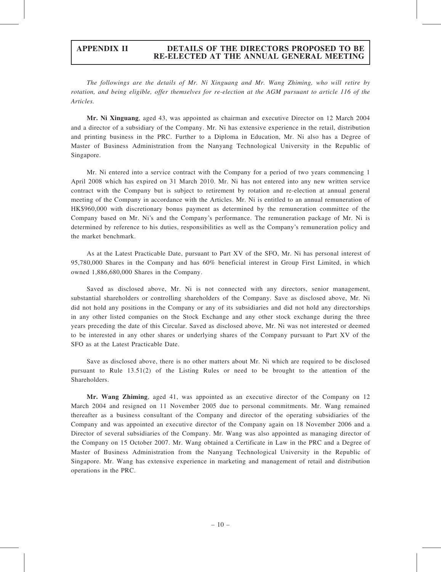### APPENDIX II DETAILS OF THE DIRECTORS PROPOSED TO BE RE-ELECTED AT THE ANNUAL GENERAL MEETING

The followings are the details of Mr. Ni Xinguang and Mr. Wang Zhiming, who will retire by rotation, and being eligible, offer themselves for re-election at the AGM pursuant to article 116 of the Articles.

Mr. Ni Xinguang, aged 43, was appointed as chairman and executive Director on 12 March 2004 and a director of a subsidiary of the Company. Mr. Ni has extensive experience in the retail, distribution and printing business in the PRC. Further to a Diploma in Education, Mr. Ni also has a Degree of Master of Business Administration from the Nanyang Technological University in the Republic of Singapore.

Mr. Ni entered into a service contract with the Company for a period of two years commencing 1 April 2008 which has expired on 31 March 2010. Mr. Ni has not entered into any new written service contract with the Company but is subject to retirement by rotation and re-election at annual general meeting of the Company in accordance with the Articles. Mr. Ni is entitled to an annual remuneration of HK\$960,000 with discretionary bonus payment as determined by the remuneration committee of the Company based on Mr. Ni's and the Company's performance. The remuneration package of Mr. Ni is determined by reference to his duties, responsibilities as well as the Company's remuneration policy and the market benchmark.

As at the Latest Practicable Date, pursuant to Part XV of the SFO, Mr. Ni has personal interest of 95,780,000 Shares in the Company and has 60% beneficial interest in Group First Limited, in which owned 1,886,680,000 Shares in the Company.

Saved as disclosed above, Mr. Ni is not connected with any directors, senior management, substantial shareholders or controlling shareholders of the Company. Save as disclosed above, Mr. Ni did not hold any positions in the Company or any of its subsidiaries and did not hold any directorships in any other listed companies on the Stock Exchange and any other stock exchange during the three years preceding the date of this Circular. Saved as disclosed above, Mr. Ni was not interested or deemed to be interested in any other shares or underlying shares of the Company pursuant to Part XV of the SFO as at the Latest Practicable Date.

Save as disclosed above, there is no other matters about Mr. Ni which are required to be disclosed pursuant to Rule 13.51(2) of the Listing Rules or need to be brought to the attention of the Shareholders.

Mr. Wang Zhiming, aged 41, was appointed as an executive director of the Company on 12 March 2004 and resigned on 11 November 2005 due to personal commitments. Mr. Wang remained thereafter as a business consultant of the Company and director of the operating subsidiaries of the Company and was appointed an executive director of the Company again on 18 November 2006 and a Director of several subsidiaries of the Company. Mr. Wang was also appointed as managing director of the Company on 15 October 2007. Mr. Wang obtained a Certificate in Law in the PRC and a Degree of Master of Business Administration from the Nanyang Technological University in the Republic of Singapore. Mr. Wang has extensive experience in marketing and management of retail and distribution operations in the PRC.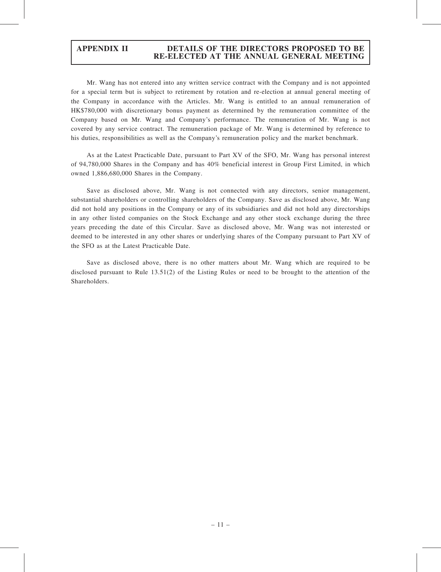## APPENDIX II DETAILS OF THE DIRECTORS PROPOSED TO BE RE-ELECTED AT THE ANNUAL GENERAL MEETING

Mr. Wang has not entered into any written service contract with the Company and is not appointed for a special term but is subject to retirement by rotation and re-election at annual general meeting of the Company in accordance with the Articles. Mr. Wang is entitled to an annual remuneration of HK\$780,000 with discretionary bonus payment as determined by the remuneration committee of the Company based on Mr. Wang and Company's performance. The remuneration of Mr. Wang is not covered by any service contract. The remuneration package of Mr. Wang is determined by reference to his duties, responsibilities as well as the Company's remuneration policy and the market benchmark.

As at the Latest Practicable Date, pursuant to Part XV of the SFO, Mr. Wang has personal interest of 94,780,000 Shares in the Company and has 40% beneficial interest in Group First Limited, in which owned 1,886,680,000 Shares in the Company.

Save as disclosed above, Mr. Wang is not connected with any directors, senior management, substantial shareholders or controlling shareholders of the Company. Save as disclosed above, Mr. Wang did not hold any positions in the Company or any of its subsidiaries and did not hold any directorships in any other listed companies on the Stock Exchange and any other stock exchange during the three years preceding the date of this Circular. Save as disclosed above, Mr. Wang was not interested or deemed to be interested in any other shares or underlying shares of the Company pursuant to Part XV of the SFO as at the Latest Practicable Date.

Save as disclosed above, there is no other matters about Mr. Wang which are required to be disclosed pursuant to Rule 13.51(2) of the Listing Rules or need to be brought to the attention of the Shareholders.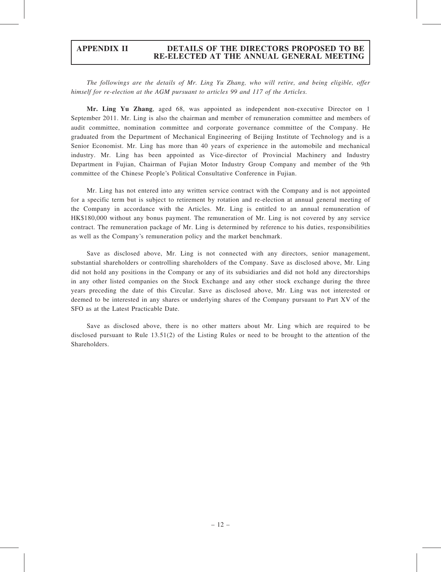### APPENDIX II DETAILS OF THE DIRECTORS PROPOSED TO BE RE-ELECTED AT THE ANNUAL GENERAL MEETING

The followings are the details of Mr. Ling Yu Zhang, who will retire, and being eligible, offer himself for re-election at the AGM pursuant to articles 99 and 117 of the Articles.

Mr. Ling Yu Zhang, aged 68, was appointed as independent non-executive Director on 1 September 2011. Mr. Ling is also the chairman and member of remuneration committee and members of audit committee, nomination committee and corporate governance committee of the Company. He graduated from the Department of Mechanical Engineering of Beijing Institute of Technology and is a Senior Economist. Mr. Ling has more than 40 years of experience in the automobile and mechanical industry. Mr. Ling has been appointed as Vice-director of Provincial Machinery and Industry Department in Fujian, Chairman of Fujian Motor Industry Group Company and member of the 9th committee of the Chinese People's Political Consultative Conference in Fujian.

Mr. Ling has not entered into any written service contract with the Company and is not appointed for a specific term but is subject to retirement by rotation and re-election at annual general meeting of the Company in accordance with the Articles. Mr. Ling is entitled to an annual remuneration of HK\$180,000 without any bonus payment. The remuneration of Mr. Ling is not covered by any service contract. The remuneration package of Mr. Ling is determined by reference to his duties, responsibilities as well as the Company's remuneration policy and the market benchmark.

Save as disclosed above, Mr. Ling is not connected with any directors, senior management, substantial shareholders or controlling shareholders of the Company. Save as disclosed above, Mr. Ling did not hold any positions in the Company or any of its subsidiaries and did not hold any directorships in any other listed companies on the Stock Exchange and any other stock exchange during the three years preceding the date of this Circular. Save as disclosed above, Mr. Ling was not interested or deemed to be interested in any shares or underlying shares of the Company pursuant to Part XV of the SFO as at the Latest Practicable Date.

Save as disclosed above, there is no other matters about Mr. Ling which are required to be disclosed pursuant to Rule 13.51(2) of the Listing Rules or need to be brought to the attention of the Shareholders.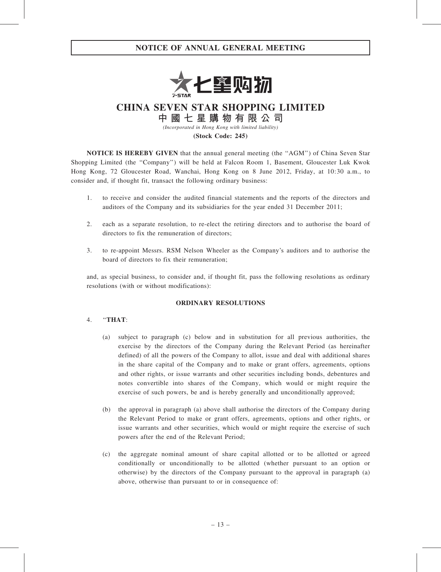# NOTICE OF ANNUAL GENERAL MEETING



CHINA SEVEN STAR SHOPPING LIMITED

中 國 七 星 購 物 有 限 公 司

(Incorporated in Hong Kong with limited liability) (Stock Code: 245)

NOTICE IS HEREBY GIVEN that the annual general meeting (the ''AGM'') of China Seven Star Shopping Limited (the ''Company'') will be held at Falcon Room 1, Basement, Gloucester Luk Kwok Hong Kong, 72 Gloucester Road, Wanchai, Hong Kong on 8 June 2012, Friday, at 10:30 a.m., to consider and, if thought fit, transact the following ordinary business:

- 1. to receive and consider the audited financial statements and the reports of the directors and auditors of the Company and its subsidiaries for the year ended 31 December 2011;
- 2. each as a separate resolution, to re-elect the retiring directors and to authorise the board of directors to fix the remuneration of directors;
- 3. to re-appoint Messrs. RSM Nelson Wheeler as the Company's auditors and to authorise the board of directors to fix their remuneration;

and, as special business, to consider and, if thought fit, pass the following resolutions as ordinary resolutions (with or without modifications):

### ORDINARY RESOLUTIONS

### 4. ''THAT:

- (a) subject to paragraph (c) below and in substitution for all previous authorities, the exercise by the directors of the Company during the Relevant Period (as hereinafter defined) of all the powers of the Company to allot, issue and deal with additional shares in the share capital of the Company and to make or grant offers, agreements, options and other rights, or issue warrants and other securities including bonds, debentures and notes convertible into shares of the Company, which would or might require the exercise of such powers, be and is hereby generally and unconditionally approved;
- (b) the approval in paragraph (a) above shall authorise the directors of the Company during the Relevant Period to make or grant offers, agreements, options and other rights, or issue warrants and other securities, which would or might require the exercise of such powers after the end of the Relevant Period;
- (c) the aggregate nominal amount of share capital allotted or to be allotted or agreed conditionally or unconditionally to be allotted (whether pursuant to an option or otherwise) by the directors of the Company pursuant to the approval in paragraph (a) above, otherwise than pursuant to or in consequence of: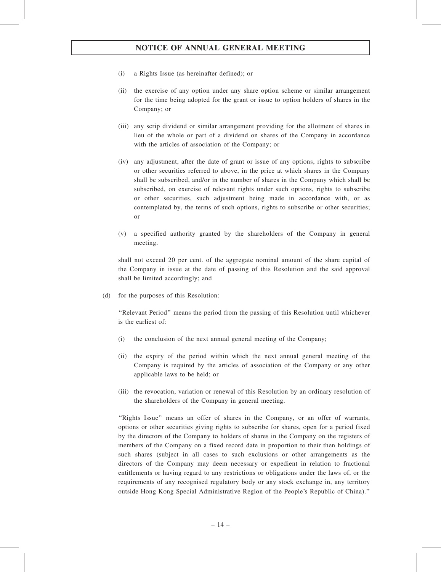# NOTICE OF ANNUAL GENERAL MEETING

- (i) a Rights Issue (as hereinafter defined); or
- (ii) the exercise of any option under any share option scheme or similar arrangement for the time being adopted for the grant or issue to option holders of shares in the Company; or
- (iii) any scrip dividend or similar arrangement providing for the allotment of shares in lieu of the whole or part of a dividend on shares of the Company in accordance with the articles of association of the Company; or
- (iv) any adjustment, after the date of grant or issue of any options, rights to subscribe or other securities referred to above, in the price at which shares in the Company shall be subscribed, and/or in the number of shares in the Company which shall be subscribed, on exercise of relevant rights under such options, rights to subscribe or other securities, such adjustment being made in accordance with, or as contemplated by, the terms of such options, rights to subscribe or other securities; or
- (v) a specified authority granted by the shareholders of the Company in general meeting.

shall not exceed 20 per cent. of the aggregate nominal amount of the share capital of the Company in issue at the date of passing of this Resolution and the said approval shall be limited accordingly; and

(d) for the purposes of this Resolution:

''Relevant Period'' means the period from the passing of this Resolution until whichever is the earliest of:

- (i) the conclusion of the next annual general meeting of the Company;
- (ii) the expiry of the period within which the next annual general meeting of the Company is required by the articles of association of the Company or any other applicable laws to be held; or
- (iii) the revocation, variation or renewal of this Resolution by an ordinary resolution of the shareholders of the Company in general meeting.

''Rights Issue'' means an offer of shares in the Company, or an offer of warrants, options or other securities giving rights to subscribe for shares, open for a period fixed by the directors of the Company to holders of shares in the Company on the registers of members of the Company on a fixed record date in proportion to their then holdings of such shares (subject in all cases to such exclusions or other arrangements as the directors of the Company may deem necessary or expedient in relation to fractional entitlements or having regard to any restrictions or obligations under the laws of, or the requirements of any recognised regulatory body or any stock exchange in, any territory outside Hong Kong Special Administrative Region of the People's Republic of China).''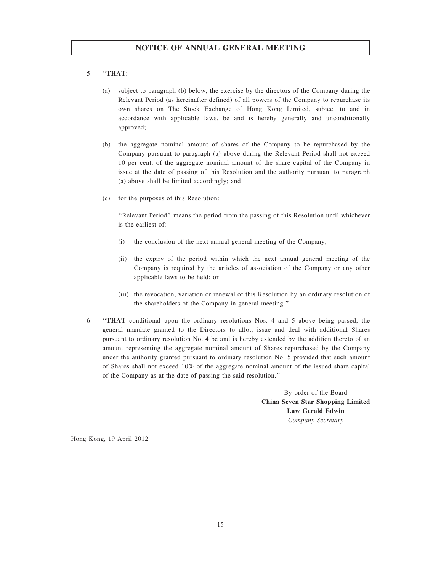### 5. ''THAT:

- (a) subject to paragraph (b) below, the exercise by the directors of the Company during the Relevant Period (as hereinafter defined) of all powers of the Company to repurchase its own shares on The Stock Exchange of Hong Kong Limited, subject to and in accordance with applicable laws, be and is hereby generally and unconditionally approved;
- (b) the aggregate nominal amount of shares of the Company to be repurchased by the Company pursuant to paragraph (a) above during the Relevant Period shall not exceed 10 per cent. of the aggregate nominal amount of the share capital of the Company in issue at the date of passing of this Resolution and the authority pursuant to paragraph (a) above shall be limited accordingly; and
- (c) for the purposes of this Resolution:

''Relevant Period'' means the period from the passing of this Resolution until whichever is the earliest of:

- (i) the conclusion of the next annual general meeting of the Company;
- (ii) the expiry of the period within which the next annual general meeting of the Company is required by the articles of association of the Company or any other applicable laws to be held; or
- (iii) the revocation, variation or renewal of this Resolution by an ordinary resolution of the shareholders of the Company in general meeting.''
- 6. ''THAT conditional upon the ordinary resolutions Nos. 4 and 5 above being passed, the general mandate granted to the Directors to allot, issue and deal with additional Shares pursuant to ordinary resolution No. 4 be and is hereby extended by the addition thereto of an amount representing the aggregate nominal amount of Shares repurchased by the Company under the authority granted pursuant to ordinary resolution No. 5 provided that such amount of Shares shall not exceed 10% of the aggregate nominal amount of the issued share capital of the Company as at the date of passing the said resolution.''

By order of the Board China Seven Star Shopping Limited Law Gerald Edwin Company Secretary

Hong Kong, 19 April 2012